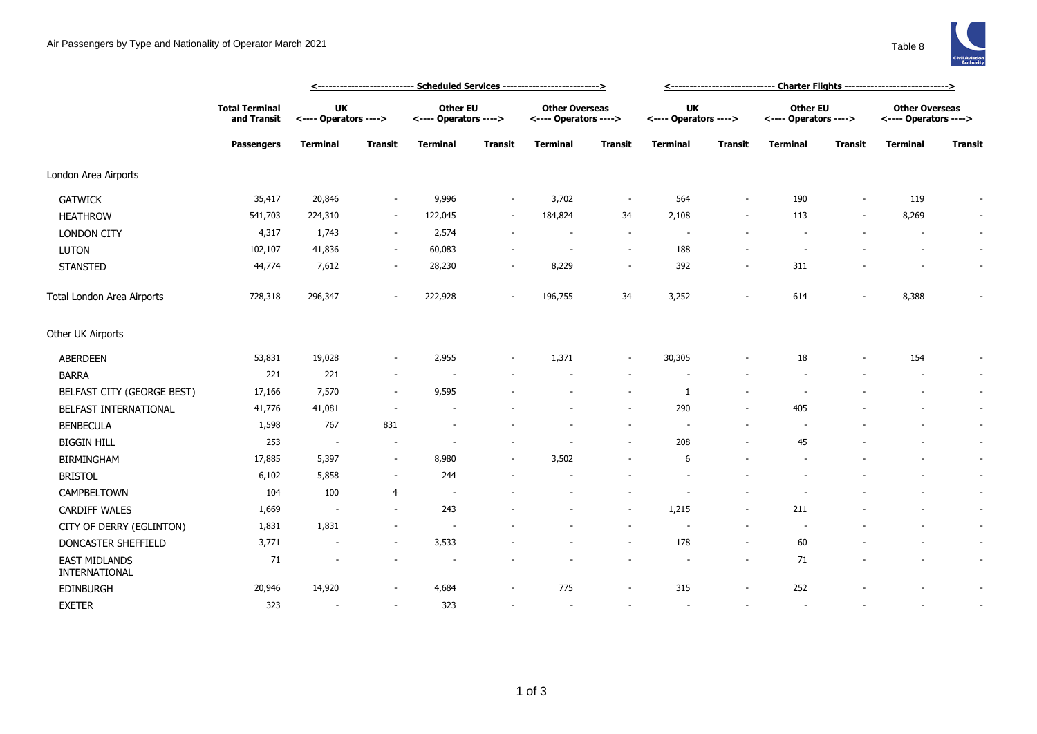

|                                       | <--------------------------- Scheduled Services -------------------------> |                                    |                          |                                          |                          |                                                |                          |                                    | <------------------------------ Charter Flights ----------------------------> |                                          |                          |                                                |                          |  |  |
|---------------------------------------|----------------------------------------------------------------------------|------------------------------------|--------------------------|------------------------------------------|--------------------------|------------------------------------------------|--------------------------|------------------------------------|-------------------------------------------------------------------------------|------------------------------------------|--------------------------|------------------------------------------------|--------------------------|--|--|
|                                       | <b>Total Terminal</b><br>and Transit<br><b>Passengers</b>                  | <b>UK</b><br><---- Operators ----> |                          | <b>Other EU</b><br><---- Operators ----> |                          | <b>Other Overseas</b><br><---- Operators ----> |                          | <b>UK</b><br><---- Operators ----> |                                                                               | <b>Other EU</b><br><---- Operators ----> |                          | <b>Other Overseas</b><br><---- Operators ----> |                          |  |  |
|                                       |                                                                            | Terminal                           | <b>Transit</b>           | <b>Terminal</b>                          | Transit                  | <b>Terminal</b>                                | Transit                  | <b>Terminal</b>                    | <b>Transit</b>                                                                | <b>Terminal</b>                          | <b>Transit</b>           | Terminal                                       | <b>Transit</b>           |  |  |
| London Area Airports                  |                                                                            |                                    |                          |                                          |                          |                                                |                          |                                    |                                                                               |                                          |                          |                                                |                          |  |  |
| <b>GATWICK</b>                        | 35,417                                                                     | 20,846                             | $\sim$                   | 9,996                                    | $\overline{\phantom{a}}$ | 3,702                                          | $\overline{\phantom{a}}$ | 564                                | $\overline{\phantom{a}}$                                                      | 190                                      | $\overline{\phantom{a}}$ | 119                                            | $\overline{\phantom{a}}$ |  |  |
| <b>HEATHROW</b>                       | 541,703                                                                    | 224,310                            | $\sim$                   | 122,045                                  | $\sim$                   | 184,824                                        | 34                       | 2,108                              | $\overline{\phantom{a}}$                                                      | 113                                      | $\overline{\phantom{a}}$ | 8,269                                          | $\sim$                   |  |  |
| <b>LONDON CITY</b>                    | 4,317                                                                      | 1,743                              | $\sim$                   | 2,574                                    | $\sim$                   |                                                | $\sim$                   | $\overline{\phantom{a}}$           |                                                                               |                                          |                          |                                                | $\sim$                   |  |  |
| <b>LUTON</b>                          | 102,107                                                                    | 41,836                             | $\sim$                   | 60,083                                   |                          | $\overline{\phantom{a}}$                       | $\overline{\phantom{a}}$ | 188                                | $\overline{a}$                                                                |                                          |                          |                                                | $\sim$                   |  |  |
| <b>STANSTED</b>                       | 44,774                                                                     | 7,612                              | $\sim$                   | 28,230                                   | $\sim$                   | 8,229                                          | $\sim$                   | 392                                | $\overline{\phantom{a}}$                                                      | 311                                      |                          |                                                | $\sim$                   |  |  |
| Total London Area Airports            | 728,318                                                                    | 296,347                            |                          | 222,928                                  | $\sim$                   | 196,755                                        | 34                       | 3,252                              | ٠                                                                             | 614                                      |                          | 8,388                                          |                          |  |  |
| Other UK Airports                     |                                                                            |                                    |                          |                                          |                          |                                                |                          |                                    |                                                                               |                                          |                          |                                                |                          |  |  |
| <b>ABERDEEN</b>                       | 53,831                                                                     | 19,028                             | $\overline{\phantom{a}}$ | 2,955                                    | $\sim$                   | 1,371                                          | $\overline{\phantom{a}}$ | 30,305                             | $\overline{\phantom{a}}$                                                      | 18                                       |                          | 154                                            | $\sim$                   |  |  |
| <b>BARRA</b>                          | 221                                                                        | 221                                | $\sim$                   |                                          |                          |                                                | $\overline{\phantom{a}}$ |                                    |                                                                               |                                          |                          |                                                | $\sim$                   |  |  |
| BELFAST CITY (GEORGE BEST)            | 17,166                                                                     | 7,570                              | $\sim$                   | 9,595                                    |                          |                                                | $\sim$                   | 1                                  | $\blacksquare$                                                                |                                          |                          |                                                | $\sim$                   |  |  |
| BELFAST INTERNATIONAL                 | 41,776                                                                     | 41,081                             |                          |                                          |                          |                                                | $\sim$                   | 290                                | $\overline{a}$                                                                | 405                                      |                          |                                                | $\sim$                   |  |  |
| <b>BENBECULA</b>                      | 1,598                                                                      | 767                                | 831                      |                                          |                          |                                                | $\sim$                   | $\overline{\phantom{a}}$           | $\overline{a}$                                                                |                                          |                          |                                                | $\sim$                   |  |  |
| <b>BIGGIN HILL</b>                    | 253                                                                        | $\overline{\phantom{a}}$           | $\overline{\phantom{a}}$ | $\sim$                                   |                          |                                                | $\sim$                   | 208                                | $\overline{\phantom{a}}$                                                      | 45                                       |                          |                                                | $\sim$                   |  |  |
| <b>BIRMINGHAM</b>                     | 17,885                                                                     | 5,397                              | $\sim$                   | 8,980                                    |                          | 3,502                                          | $\overline{a}$           | 6                                  |                                                                               |                                          |                          |                                                | $\sim$                   |  |  |
| <b>BRISTOL</b>                        | 6,102                                                                      | 5,858                              | $\sim$                   | 244                                      |                          |                                                |                          |                                    |                                                                               |                                          |                          |                                                | $\sim$                   |  |  |
| CAMPBELTOWN                           | 104                                                                        | 100                                | 4                        | $\sim$                                   |                          | $\overline{\phantom{a}}$                       | $\overline{\phantom{a}}$ | $\overline{\phantom{a}}$           | $\overline{\phantom{a}}$                                                      |                                          |                          |                                                | $\sim$                   |  |  |
| <b>CARDIFF WALES</b>                  | 1,669                                                                      | $\overline{\phantom{a}}$           | $\sim$                   | 243                                      |                          |                                                | $\sim$                   | 1,215                              | $\overline{\phantom{a}}$                                                      | 211                                      |                          |                                                | $\sim$                   |  |  |
| CITY OF DERRY (EGLINTON)              | 1,831                                                                      | 1,831                              | $\sim$                   | $\overline{\phantom{a}}$                 |                          |                                                | $\overline{\phantom{a}}$ | $\overline{\phantom{a}}$           | $\overline{\phantom{a}}$                                                      | $\sim$                                   |                          |                                                | $\sim$                   |  |  |
| DONCASTER SHEFFIELD                   | 3,771                                                                      |                                    |                          | 3,533                                    |                          |                                                | $\overline{\phantom{a}}$ | 178                                | $\overline{\phantom{a}}$                                                      | 60                                       |                          |                                                | $\sim$                   |  |  |
| <b>EAST MIDLANDS</b><br>INTERNATIONAL | 71                                                                         |                                    |                          |                                          |                          |                                                | $\overline{\phantom{a}}$ |                                    | $\overline{\phantom{a}}$                                                      | 71                                       |                          |                                                | $\sim$                   |  |  |
| EDINBURGH                             | 20,946                                                                     | 14,920                             |                          | 4,684                                    |                          | 775                                            | $\overline{\phantom{a}}$ | 315                                | $\overline{\phantom{a}}$                                                      | 252                                      |                          |                                                | $\overline{\phantom{a}}$ |  |  |
| <b>EXETER</b>                         | 323                                                                        | $\overline{\phantom{a}}$           | $\overline{\phantom{a}}$ | 323                                      | $\sim$                   | $\sim$                                         | $\sim$                   | $\overline{\phantom{a}}$           | $\overline{\phantom{a}}$                                                      | $\sim$                                   |                          |                                                | $\sim$                   |  |  |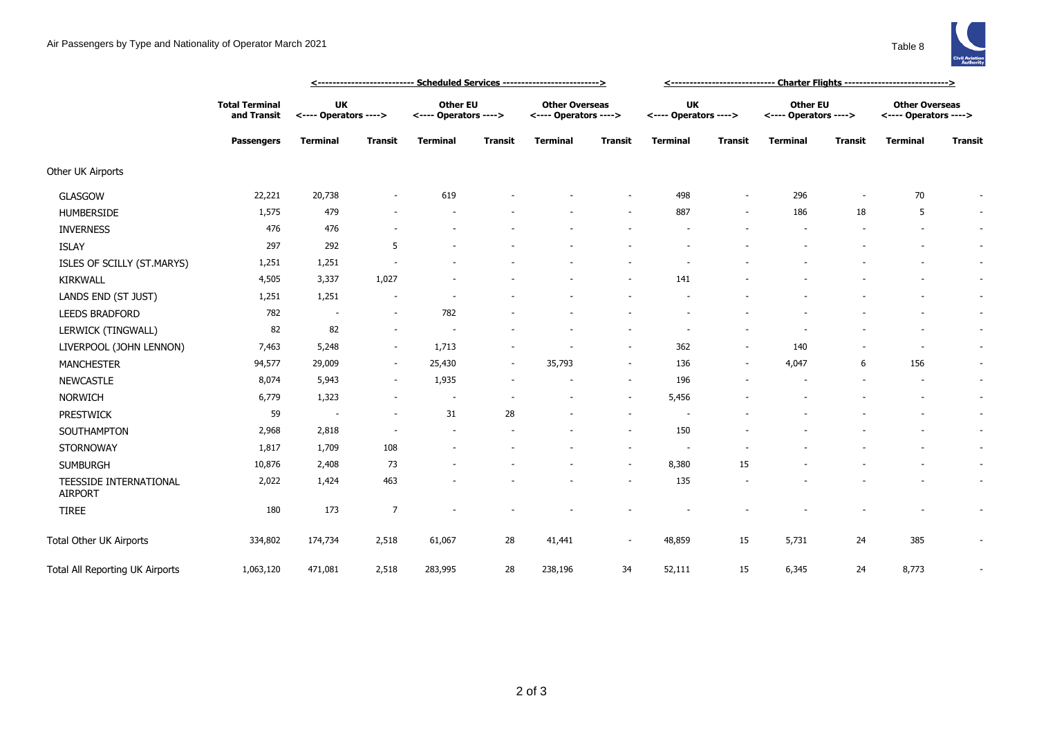

|                                          |                                                           |                                    |                | <u> &lt;--------------------------- Scheduled Services --------------------------&gt;</u> |                |                                                |                          |                                    |                          |                                          |                          |                                                |                          |
|------------------------------------------|-----------------------------------------------------------|------------------------------------|----------------|-------------------------------------------------------------------------------------------|----------------|------------------------------------------------|--------------------------|------------------------------------|--------------------------|------------------------------------------|--------------------------|------------------------------------------------|--------------------------|
|                                          | <b>Total Terminal</b><br>and Transit<br><b>Passengers</b> | <b>UK</b><br><---- Operators ----> |                | <b>Other EU</b><br><---- Operators ---->                                                  |                | <b>Other Overseas</b><br><---- Operators ----> |                          | <b>UK</b><br><---- Operators ----> |                          | <b>Other EU</b><br><---- Operators ----> |                          | <b>Other Overseas</b><br><---- Operators ----> |                          |
|                                          |                                                           | <b>Terminal</b>                    | <b>Transit</b> | <b>Terminal</b>                                                                           | <b>Transit</b> | <b>Terminal</b>                                | <b>Transit</b>           | <b>Terminal</b>                    | <b>Transit</b>           | <b>Terminal</b>                          | <b>Transit</b>           | <b>Terminal</b>                                | <b>Transit</b>           |
| Other UK Airports                        |                                                           |                                    |                |                                                                                           |                |                                                |                          |                                    |                          |                                          |                          |                                                |                          |
| <b>GLASGOW</b>                           | 22,221                                                    | 20,738                             |                | 619                                                                                       |                |                                                |                          | 498                                | $\sim$                   | 296                                      | $\overline{\phantom{a}}$ | 70                                             |                          |
| <b>HUMBERSIDE</b>                        | 1,575                                                     | 479                                |                |                                                                                           |                |                                                |                          | 887                                | $\sim$                   | 186                                      | 18                       | 5                                              | $\overline{\phantom{a}}$ |
| <b>INVERNESS</b>                         | 476                                                       | 476                                |                |                                                                                           |                |                                                |                          |                                    |                          |                                          |                          | $\overline{\phantom{a}}$                       | $\overline{\phantom{a}}$ |
| <b>ISLAY</b>                             | 297                                                       | 292                                | 5              |                                                                                           |                |                                                |                          |                                    |                          |                                          |                          |                                                | $\sim$                   |
| ISLES OF SCILLY (ST.MARYS)               | 1,251                                                     | 1,251                              |                |                                                                                           |                |                                                |                          |                                    |                          |                                          |                          |                                                |                          |
| <b>KIRKWALL</b>                          | 4,505                                                     | 3,337                              | 1,027          |                                                                                           |                |                                                |                          | 141                                |                          |                                          |                          |                                                |                          |
| LANDS END (ST JUST)                      | 1,251                                                     | 1,251                              |                |                                                                                           |                |                                                |                          |                                    |                          |                                          |                          |                                                | $\overline{\phantom{a}}$ |
| <b>LEEDS BRADFORD</b>                    | 782                                                       | $\overline{a}$                     | $\sim$         | 782                                                                                       |                |                                                |                          |                                    |                          |                                          |                          |                                                | $\overline{\phantom{a}}$ |
| LERWICK (TINGWALL)                       | 82                                                        | 82                                 |                |                                                                                           |                |                                                |                          |                                    |                          |                                          |                          |                                                | $\overline{\phantom{a}}$ |
| LIVERPOOL (JOHN LENNON)                  | 7,463                                                     | 5,248                              | $\sim$         | 1,713                                                                                     |                |                                                | $\overline{\phantom{a}}$ | 362                                | $\overline{\phantom{a}}$ | 140                                      |                          |                                                |                          |
| <b>MANCHESTER</b>                        | 94,577                                                    | 29,009                             | $\sim$         | 25,430                                                                                    | $\sim$         | 35,793                                         | $\sim$                   | 136                                | $\sim$                   | 4,047                                    | 6                        | 156                                            | $\overline{\phantom{a}}$ |
| <b>NEWCASTLE</b>                         | 8,074                                                     | 5,943                              | $\sim$         | 1,935                                                                                     |                |                                                | $\sim$                   | 196                                |                          |                                          |                          |                                                | $\overline{\phantom{a}}$ |
| <b>NORWICH</b>                           | 6,779                                                     | 1,323                              | $\sim$         | $\overline{\phantom{a}}$                                                                  |                |                                                | $\sim$                   | 5,456                              |                          |                                          |                          |                                                | $\overline{\phantom{a}}$ |
| <b>PRESTWICK</b>                         | 59                                                        | $\sim$                             | $\sim$         | 31                                                                                        | 28             |                                                | $\sim$                   |                                    |                          |                                          |                          |                                                | $\overline{\phantom{a}}$ |
| SOUTHAMPTON                              | 2,968                                                     | 2,818                              |                | $\overline{\phantom{a}}$                                                                  |                |                                                | $\sim$                   | 150                                |                          |                                          |                          |                                                | $\overline{\phantom{a}}$ |
| STORNOWAY                                | 1,817                                                     | 1,709                              | 108            |                                                                                           |                |                                                | $\sim$                   | $\overline{\phantom{a}}$           |                          |                                          |                          |                                                | ٠                        |
| <b>SUMBURGH</b>                          | 10,876                                                    | 2,408                              | 73             | ٠                                                                                         |                |                                                | $\sim$                   | 8,380                              | 15                       |                                          |                          |                                                |                          |
| TEESSIDE INTERNATIONAL<br><b>AIRPORT</b> | 2,022                                                     | 1,424                              | 463            |                                                                                           |                |                                                |                          | 135                                |                          |                                          |                          |                                                | $\overline{\phantom{a}}$ |
| <b>TIREE</b>                             | 180                                                       | 173                                | $\overline{7}$ |                                                                                           |                |                                                |                          |                                    |                          |                                          |                          |                                                |                          |
| Total Other UK Airports                  | 334,802                                                   | 174,734                            | 2,518          | 61,067                                                                                    | 28             | 41,441                                         | $\sim$                   | 48,859                             | 15                       | 5,731                                    | 24                       | 385                                            |                          |
| Total All Reporting UK Airports          | 1,063,120                                                 | 471,081                            | 2,518          | 283,995                                                                                   | 28             | 238,196                                        | 34                       | 52,111                             | 15                       | 6,345                                    | 24                       | 8,773                                          |                          |